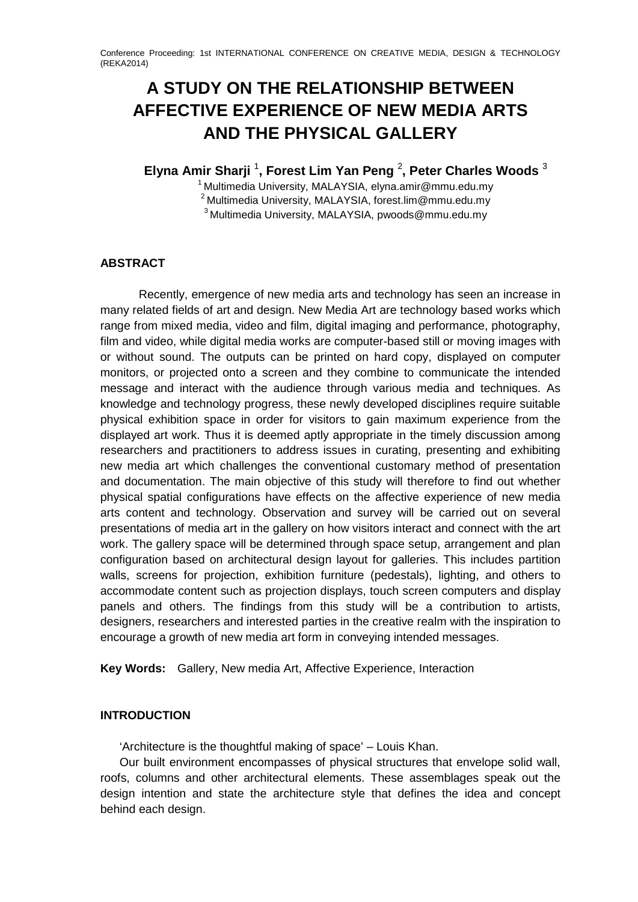# **A STUDY ON THE RELATIONSHIP BETWEEN AFFECTIVE EXPERIENCE OF NEW MEDIA ARTS AND THE PHYSICAL GALLERY**

**Elyna Amir Sharji** <sup>1</sup> **, Forest Lim Yan Peng** <sup>2</sup> **, Peter Charles Woods** <sup>3</sup>

<sup>1</sup> Multimedia University, MALAYSIA, elyna.amir@mmu.edu.my <sup>2</sup> Multimedia University, MALAYSIA, forest.lim@mmu.edu.my 3 Multimedia University, MALAYSIA, pwoods@mmu.edu.my

# **ABSTRACT**

Recently, emergence of new media arts and technology has seen an increase in many related fields of art and design. New Media Art are technology based works which range from mixed media, video and film, digital imaging and performance, photography, film and video, while digital media works are computer-based still or moving images with or without sound. The outputs can be printed on hard copy, displayed on computer monitors, or projected onto a screen and they combine to communicate the intended message and interact with the audience through various media and techniques. As knowledge and technology progress, these newly developed disciplines require suitable physical exhibition space in order for visitors to gain maximum experience from the displayed art work. Thus it is deemed aptly appropriate in the timely discussion among researchers and practitioners to address issues in curating, presenting and exhibiting new media art which challenges the conventional customary method of presentation and documentation. The main objective of this study will therefore to find out whether physical spatial configurations have effects on the affective experience of new media arts content and technology. Observation and survey will be carried out on several presentations of media art in the gallery on how visitors interact and connect with the art work. The gallery space will be determined through space setup, arrangement and plan configuration based on architectural design layout for galleries. This includes partition walls, screens for projection, exhibition furniture (pedestals), lighting, and others to accommodate content such as projection displays, touch screen computers and display panels and others. The findings from this study will be a contribution to artists, designers, researchers and interested parties in the creative realm with the inspiration to encourage a growth of new media art form in conveying intended messages.

**Key Words:** Gallery, New media Art, Affective Experience, Interaction

# **INTRODUCTION**

'Architecture is the thoughtful making of space' – Louis Khan.

Our built environment encompasses of physical structures that envelope solid wall, roofs, columns and other architectural elements. These assemblages speak out the design intention and state the architecture style that defines the idea and concept behind each design.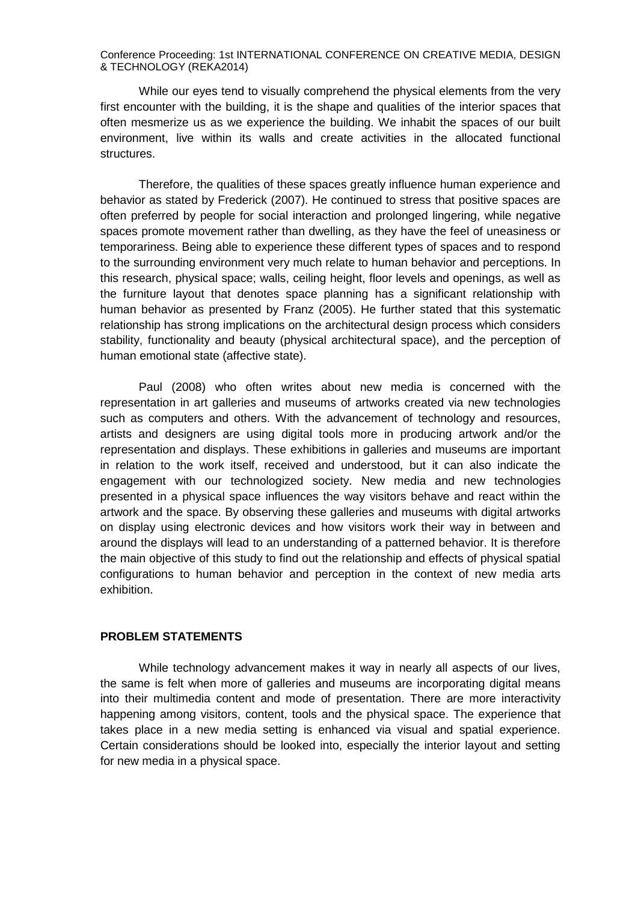While our eyes tend to visually comprehend the physical elements from the very first encounter with the building, it is the shape and qualities of the interior spaces that often mesmerize us as we experience the building. We inhabit the spaces of our built environment, live within its walls and create activities in the allocated functional structures.

Therefore, the qualities of these spaces greatly influence human experience and behavior as stated by Frederick (2007). He continued to stress that positive spaces are often preferred by people for social interaction and prolonged lingering, while negative spaces promote movement rather than dwelling, as they have the feel of uneasiness or temporariness. Being able to experience these different types of spaces and to respond to the surrounding environment very much relate to human behavior and perceptions. In this research, physical space; walls, ceiling height, floor levels and openings, as well as the furniture layout that denotes space planning has a significant relationship with human behavior as presented by Franz (2005). He further stated that this systematic relationship has strong implications on the architectural design process which considers stability, functionality and beauty (physical architectural space), and the perception of human emotional state (affective state).

Paul (2008) who often writes about new media is concerned with the representation in art galleries and museums of artworks created via new technologies such as computers and others. With the advancement of technology and resources, artists and designers are using digital tools more in producing artwork and/or the representation and displays. These exhibitions in galleries and museums are important in relation to the work itself, received and understood, but it can also indicate the engagement with our technologized society. New media and new technologies presented in a physical space influences the way visitors behave and react within the artwork and the space. By observing these galleries and museums with digital artworks on display using electronic devices and how visitors work their way in between and around the displays will lead to an understanding of a patterned behavior. It is therefore the main objective of this study to find out the relationship and effects of physical spatial configurations to human behavior and perception in the context of new media arts exhibition.

#### **PROBLEM STATEMENTS**

While technology advancement makes it way in nearly all aspects of our lives, the same is felt when more of galleries and museums are incorporating digital means into their multimedia content and mode of presentation. There are more interactivity happening among visitors, content, tools and the physical space. The experience that takes place in a new media setting is enhanced via visual and spatial experience. Certain considerations should be looked into, especially the interior layout and setting for new media in a physical space.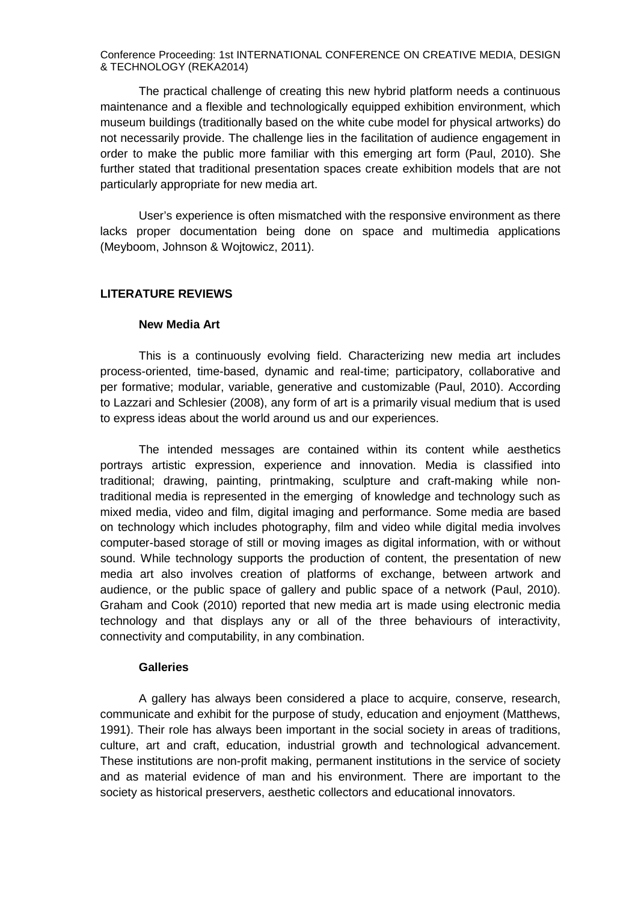The practical challenge of creating this new hybrid platform needs a continuous maintenance and a flexible and technologically equipped exhibition environment, which museum buildings (traditionally based on the white cube model for physical artworks) do not necessarily provide. The challenge lies in the facilitation of audience engagement in order to make the public more familiar with this emerging art form (Paul, 2010). She further stated that traditional presentation spaces create exhibition models that are not particularly appropriate for new media art.

User's experience is often mismatched with the responsive environment as there lacks proper documentation being done on space and multimedia applications (Meyboom, Johnson & Wojtowicz, 2011).

### **LITERATURE REVIEWS**

#### **New Media Art**

This is a continuously evolving field. Characterizing new media art includes process-oriented, time-based, dynamic and real-time; participatory, collaborative and per formative; modular, variable, generative and customizable (Paul, 2010). According to Lazzari and Schlesier (2008), any form of art is a primarily visual medium that is used to express ideas about the world around us and our experiences.

The intended messages are contained within its content while aesthetics portrays artistic expression, experience and innovation. Media is classified into traditional; drawing, painting, printmaking, sculpture and craft-making while nontraditional media is represented in the emerging of knowledge and technology such as mixed media, video and film, digital imaging and performance. Some media are based on technology which includes photography, film and video while digital media involves computer-based storage of still or moving images as digital information, with or without sound. While technology supports the production of content, the presentation of new media art also involves creation of platforms of exchange, between artwork and audience, or the public space of gallery and public space of a network (Paul, 2010). Graham and Cook (2010) reported that new media art is made using electronic media technology and that displays any or all of the three behaviours of interactivity, connectivity and computability, in any combination.

#### **Galleries**

A gallery has always been considered a place to acquire, conserve, research, communicate and exhibit for the purpose of study, education and enjoyment (Matthews, 1991). Their role has always been important in the social society in areas of traditions, culture, art and craft, education, industrial growth and technological advancement. These institutions are non-profit making, permanent institutions in the service of society and as material evidence of man and his environment. There are important to the society as historical preservers, aesthetic collectors and educational innovators.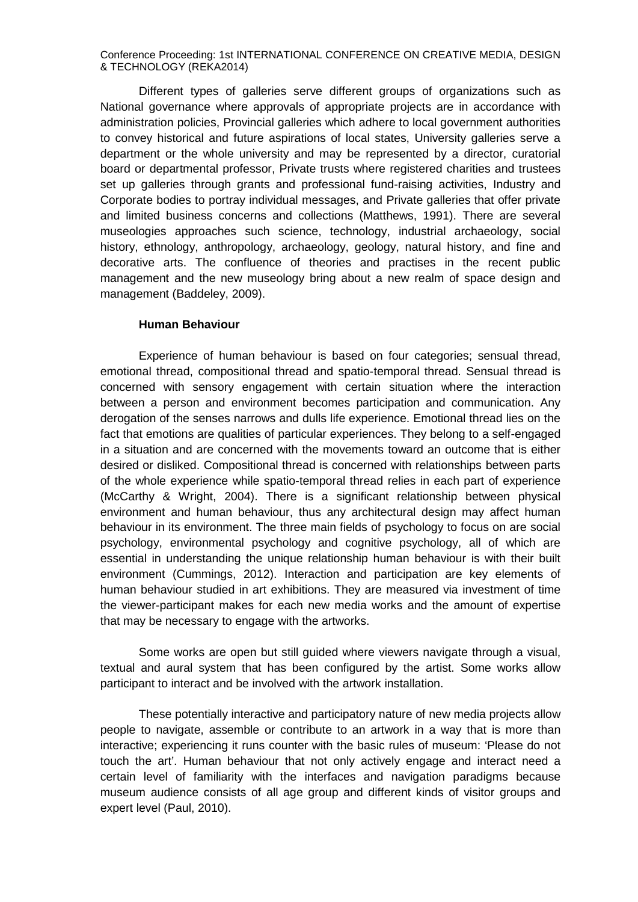Different types of galleries serve different groups of organizations such as National governance where approvals of appropriate projects are in accordance with administration policies, Provincial galleries which adhere to local government authorities to convey historical and future aspirations of local states, University galleries serve a department or the whole university and may be represented by a director, curatorial board or departmental professor, Private trusts where registered charities and trustees set up galleries through grants and professional fund-raising activities, Industry and Corporate bodies to portray individual messages, and Private galleries that offer private and limited business concerns and collections (Matthews, 1991). There are several museologies approaches such science, technology, industrial archaeology, social history, ethnology, anthropology, archaeology, geology, natural history, and fine and decorative arts. The confluence of theories and practises in the recent public management and the new museology bring about a new realm of space design and management (Baddeley, 2009).

#### **Human Behaviour**

Experience of human behaviour is based on four categories; sensual thread, emotional thread, compositional thread and spatio-temporal thread. Sensual thread is concerned with sensory engagement with certain situation where the interaction between a person and environment becomes participation and communication. Any derogation of the senses narrows and dulls life experience. Emotional thread lies on the fact that emotions are qualities of particular experiences. They belong to a self-engaged in a situation and are concerned with the movements toward an outcome that is either desired or disliked. Compositional thread is concerned with relationships between parts of the whole experience while spatio-temporal thread relies in each part of experience (McCarthy & Wright, 2004). There is a significant relationship between physical environment and human behaviour, thus any architectural design may affect human behaviour in its environment. The three main fields of psychology to focus on are social psychology, environmental psychology and cognitive psychology, all of which are essential in understanding the unique relationship human behaviour is with their built environment (Cummings, 2012). Interaction and participation are key elements of human behaviour studied in art exhibitions. They are measured via investment of time the viewer-participant makes for each new media works and the amount of expertise that may be necessary to engage with the artworks.

Some works are open but still guided where viewers navigate through a visual, textual and aural system that has been configured by the artist. Some works allow participant to interact and be involved with the artwork installation.

These potentially interactive and participatory nature of new media projects allow people to navigate, assemble or contribute to an artwork in a way that is more than interactive; experiencing it runs counter with the basic rules of museum: 'Please do not touch the art'. Human behaviour that not only actively engage and interact need a certain level of familiarity with the interfaces and navigation paradigms because museum audience consists of all age group and different kinds of visitor groups and expert level (Paul, 2010).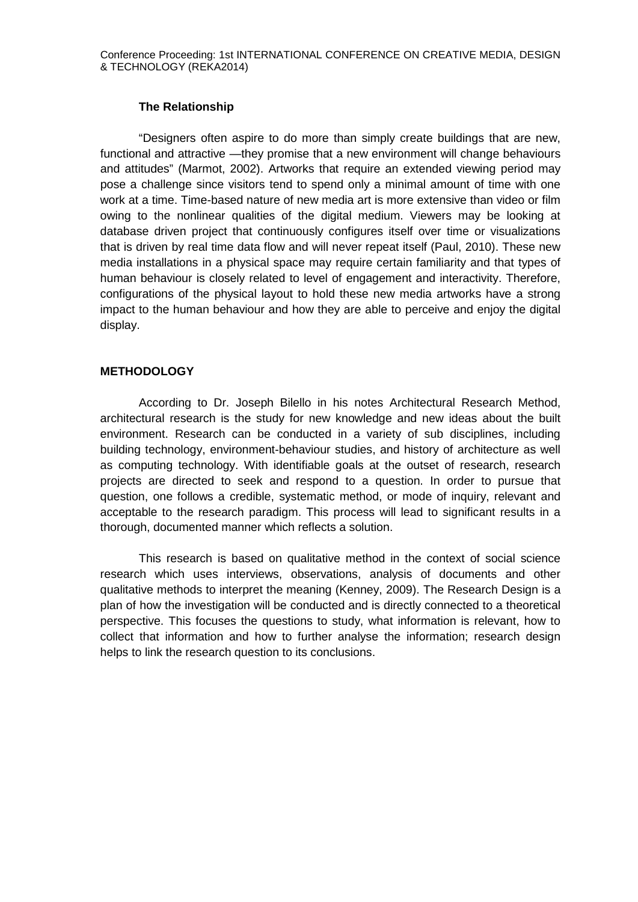## **The Relationship**

"Designers often aspire to do more than simply create buildings that are new, functional and attractive —they promise that a new environment will change behaviours and attitudes" (Marmot, 2002). Artworks that require an extended viewing period may pose a challenge since visitors tend to spend only a minimal amount of time with one work at a time. Time-based nature of new media art is more extensive than video or film owing to the nonlinear qualities of the digital medium. Viewers may be looking at database driven project that continuously configures itself over time or visualizations that is driven by real time data flow and will never repeat itself (Paul, 2010). These new media installations in a physical space may require certain familiarity and that types of human behaviour is closely related to level of engagement and interactivity. Therefore, configurations of the physical layout to hold these new media artworks have a strong impact to the human behaviour and how they are able to perceive and enjoy the digital display.

## **METHODOLOGY**

According to Dr. Joseph Bilello in his notes Architectural Research Method, architectural research is the study for new knowledge and new ideas about the built environment. Research can be conducted in a variety of sub disciplines, including building technology, environment-behaviour studies, and history of architecture as well as computing technology. With identifiable goals at the outset of research, research projects are directed to seek and respond to a question. In order to pursue that question, one follows a credible, systematic method, or mode of inquiry, relevant and acceptable to the research paradigm. This process will lead to significant results in a thorough, documented manner which reflects a solution.

This research is based on qualitative method in the context of social science research which uses interviews, observations, analysis of documents and other qualitative methods to interpret the meaning (Kenney, 2009). The Research Design is a plan of how the investigation will be conducted and is directly connected to a theoretical perspective. This focuses the questions to study, what information is relevant, how to collect that information and how to further analyse the information; research design helps to link the research question to its conclusions.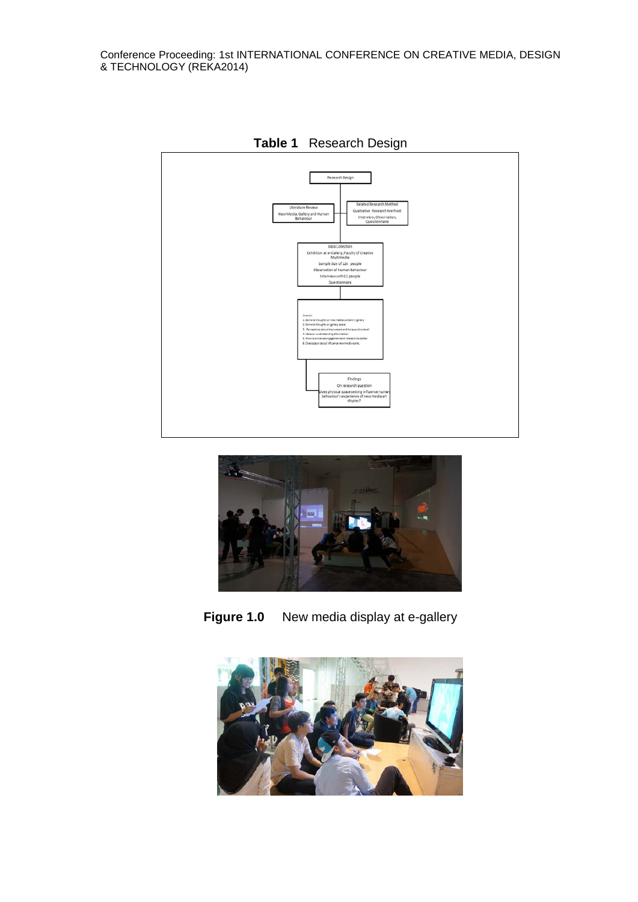

**Table 1** Research Design



**Figure 1.0** New media display at e-gallery

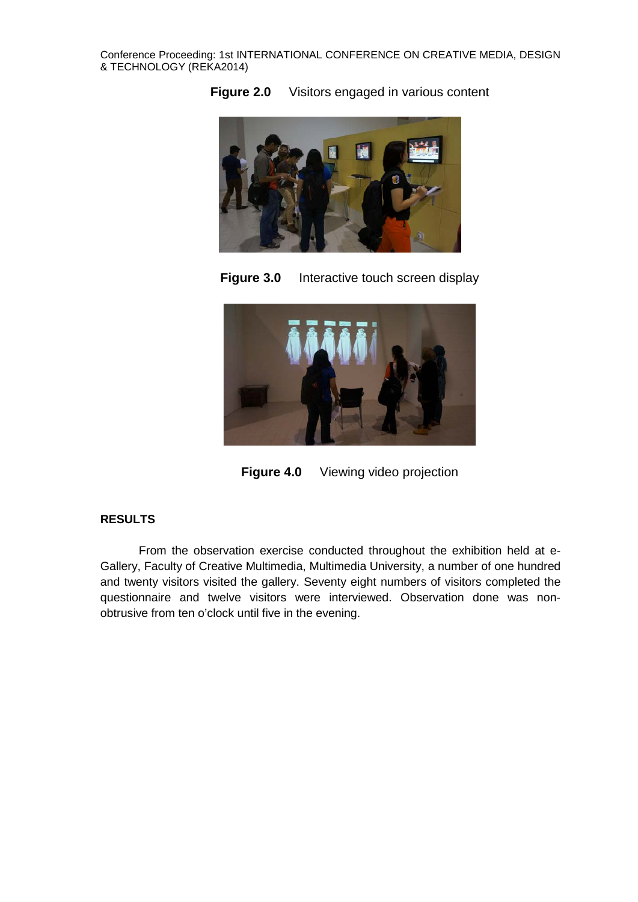



**Figure 3.0** Interactive touch screen display



**Figure 4.0** Viewing video projection

## **RESULTS**

From the observation exercise conducted throughout the exhibition held at e-Gallery, Faculty of Creative Multimedia, Multimedia University, a number of one hundred and twenty visitors visited the gallery. Seventy eight numbers of visitors completed the questionnaire and twelve visitors were interviewed. Observation done was nonobtrusive from ten o'clock until five in the evening.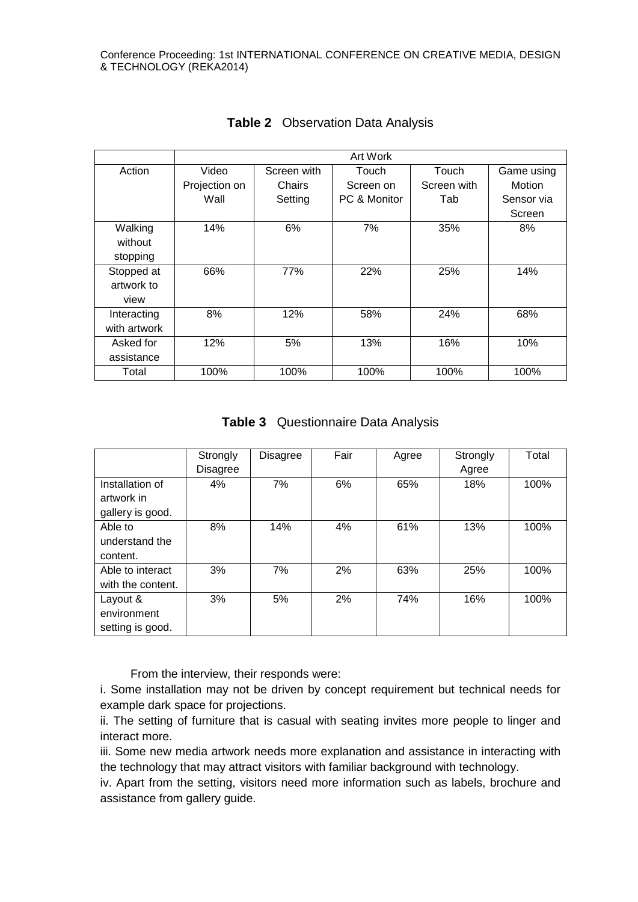|              | Art Work      |             |              |             |            |  |  |  |  |
|--------------|---------------|-------------|--------------|-------------|------------|--|--|--|--|
| Action       | Video         | Screen with | Touch        | Touch       | Game using |  |  |  |  |
|              | Projection on | Chairs      | Screen on    | Screen with | Motion     |  |  |  |  |
|              | Wall          | Setting     | PC & Monitor | Tab         | Sensor via |  |  |  |  |
|              |               |             |              |             | Screen     |  |  |  |  |
| Walking      | 14%           | 6%          | 7%           | 35%         | 8%         |  |  |  |  |
| without      |               |             |              |             |            |  |  |  |  |
| stopping     |               |             |              |             |            |  |  |  |  |
| Stopped at   | 66%           | 77%         | 22%          | 25%         | 14%        |  |  |  |  |
| artwork to   |               |             |              |             |            |  |  |  |  |
| view         |               |             |              |             |            |  |  |  |  |
| Interacting  | 8%            | 12%         | 58%          | 24%         | 68%        |  |  |  |  |
| with artwork |               |             |              |             |            |  |  |  |  |
| Asked for    | 12%           | 5%          | 13%          | 16%         | 10%        |  |  |  |  |
| assistance   |               |             |              |             |            |  |  |  |  |
| Total        | 100%          | 100%        | 100%         | 100%        | 100%       |  |  |  |  |

**Table 2** Observation Data Analysis

|  | <b>Table 3</b> Questionnaire Data Analysis |  |  |
|--|--------------------------------------------|--|--|
|--|--------------------------------------------|--|--|

|                   | Strongly        | <b>Disagree</b> | Fair | Agree | Strongly | Total |
|-------------------|-----------------|-----------------|------|-------|----------|-------|
|                   | <b>Disagree</b> |                 |      |       | Agree    |       |
| Installation of   | 4%              | 7%              | 6%   | 65%   | 18%      | 100%  |
| artwork in        |                 |                 |      |       |          |       |
| gallery is good.  |                 |                 |      |       |          |       |
| Able to           | 8%              | 14%             | 4%   | 61%   | 13%      | 100%  |
| understand the    |                 |                 |      |       |          |       |
| content.          |                 |                 |      |       |          |       |
| Able to interact  | 3%              | 7%              | 2%   | 63%   | 25%      | 100%  |
| with the content. |                 |                 |      |       |          |       |
| Layout &          | 3%              | 5%              | 2%   | 74%   | 16%      | 100%  |
| environment       |                 |                 |      |       |          |       |
| setting is good.  |                 |                 |      |       |          |       |

From the interview, their responds were:

i. Some installation may not be driven by concept requirement but technical needs for example dark space for projections.

ii. The setting of furniture that is casual with seating invites more people to linger and interact more.

iii. Some new media artwork needs more explanation and assistance in interacting with the technology that may attract visitors with familiar background with technology.

iv. Apart from the setting, visitors need more information such as labels, brochure and assistance from gallery guide.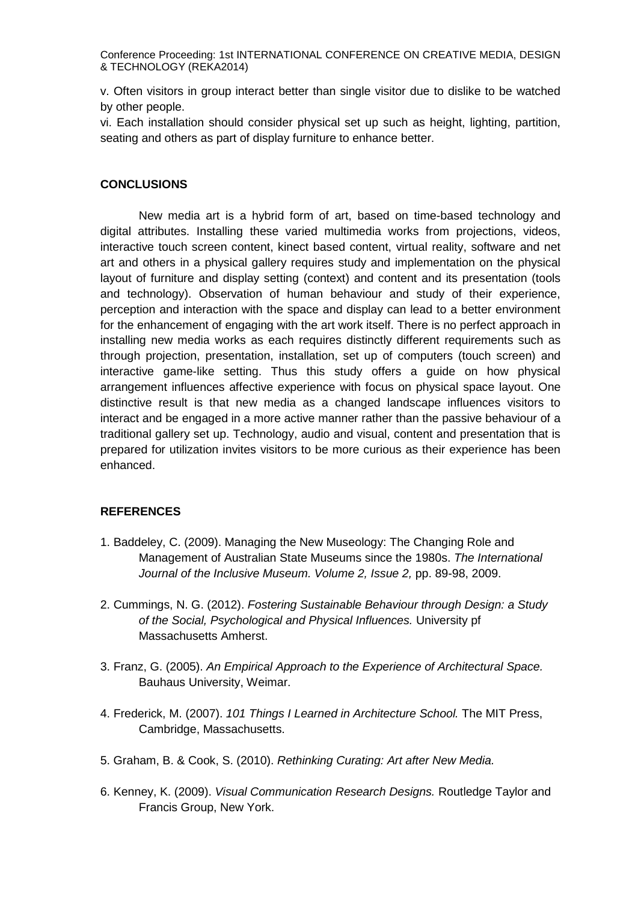v. Often visitors in group interact better than single visitor due to dislike to be watched by other people.

vi. Each installation should consider physical set up such as height, lighting, partition, seating and others as part of display furniture to enhance better.

## **CONCLUSIONS**

New media art is a hybrid form of art, based on time-based technology and digital attributes. Installing these varied multimedia works from projections, videos, interactive touch screen content, kinect based content, virtual reality, software and net art and others in a physical gallery requires study and implementation on the physical layout of furniture and display setting (context) and content and its presentation (tools and technology). Observation of human behaviour and study of their experience, perception and interaction with the space and display can lead to a better environment for the enhancement of engaging with the art work itself. There is no perfect approach in installing new media works as each requires distinctly different requirements such as through projection, presentation, installation, set up of computers (touch screen) and interactive game-like setting. Thus this study offers a guide on how physical arrangement influences affective experience with focus on physical space layout. One distinctive result is that new media as a changed landscape influences visitors to interact and be engaged in a more active manner rather than the passive behaviour of a traditional gallery set up. Technology, audio and visual, content and presentation that is prepared for utilization invites visitors to be more curious as their experience has been enhanced.

#### **REFERENCES**

- 1. Baddeley, C. (2009). Managing the New Museology: The Changing Role and Management of Australian State Museums since the 1980s. *The International Journal of the Inclusive Museum. Volume 2, Issue 2,* pp. 89-98, 2009.
- 2. Cummings, N. G. (2012). *Fostering Sustainable Behaviour through Design: a Study of the Social, Psychological and Physical Influences.* University pf Massachusetts Amherst.
- 3. Franz, G. (2005). *An Empirical Approach to the Experience of Architectural Space.* Bauhaus University, Weimar.
- 4. Frederick, M. (2007). *101 Things I Learned in Architecture School.* The MIT Press, Cambridge, Massachusetts.
- 5. Graham, B. & Cook, S. (2010). *Rethinking Curating: Art after New Media.*
- 6. Kenney, K. (2009). *Visual Communication Research Designs.* Routledge Taylor and Francis Group, New York.